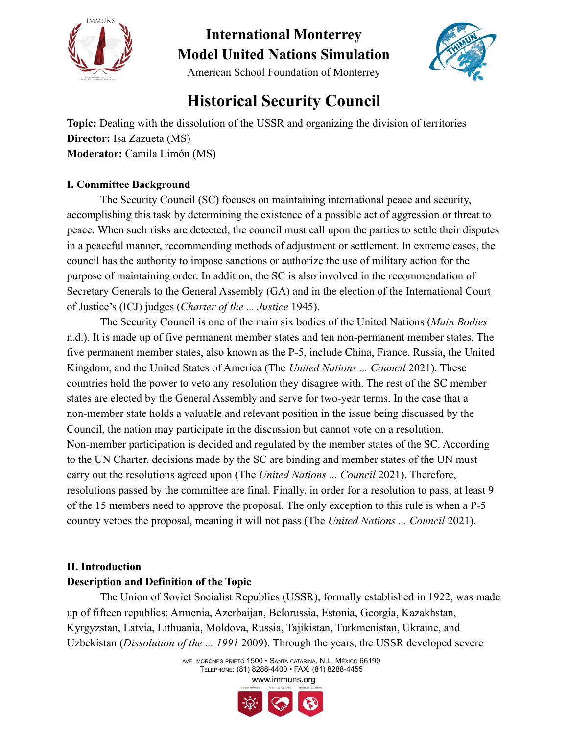

**International Monterrey Model United Nations Simulation** American School Foundation of Monterrey



### **Historical Security Council**

**Topic:** Dealing with the dissolution of the USSR and organizing the division of territories **Director:** Isa Zazueta (MS) **Moderator:** Camila Limón (MS)

### **I. Committee Background**

The Security Council (SC) focuses on maintaining international peace and security, accomplishing this task by determining the existence of a possible act of aggression or threat to peace. When such risks are detected, the council must call upon the parties to settle their disputes in a peaceful manner, recommending methods of adjustment or settlement. In extreme cases, the council has the authority to impose sanctions or authorize the use of military action for the purpose of maintaining order. In addition, the SC is also involved in the recommendation of Secretary Generals to the General Assembly (GA) and in the election of the International Court of Justice's (ICJ) judges (*Charter of the ... Justice* 1945).

The Security Council is one of the main six bodies of the United Nations (*Main Bodies* n.d.). It is made up of five permanent member states and ten non-permanent member states. The five permanent member states, also known as the P-5, include China, France, Russia, the United Kingdom, and the United States of America (The *United Nations ... Council* 2021). These countries hold the power to veto any resolution they disagree with. The rest of the SC member states are elected by the General Assembly and serve for two-year terms. In the case that a non-member state holds a valuable and relevant position in the issue being discussed by the Council, the nation may participate in the discussion but cannot vote on a resolution. Non-member participation is decided and regulated by the member states of the SC. According to the UN Charter, decisions made by the SC are binding and member states of the UN must carry out the resolutions agreed upon (The *United Nations ... Council* 2021). Therefore, resolutions passed by the committee are final. Finally, in order for a resolution to pass, at least 9 of the 15 members need to approve the proposal. The only exception to this rule is when a P-5 country vetoes the proposal, meaning it will not pass (The *United Nations ... Council* 2021).

### **II. Introduction**

### **Description and Definition of the Topic**

The Union of Soviet Socialist Republics (USSR), formally established in 1922, was made up of fifteen republics: Armenia, Azerbaijan, Belorussia, Estonia, Georgia, Kazakhstan, Kyrgyzstan, Latvia, Lithuania, Moldova, Russia, Tajikistan, Turkmenistan, Ukraine, and Uzbekistan (*Dissolution of the ... 1991* 2009). Through the years, the USSR developed severe

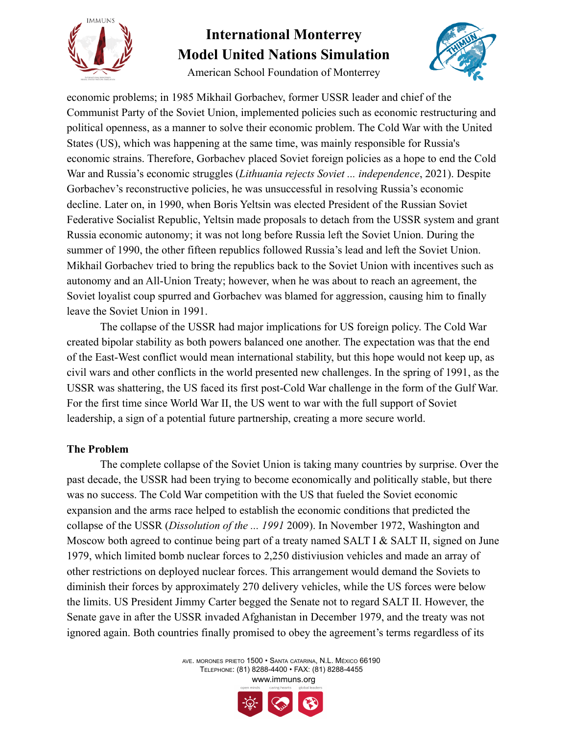

American School Foundation of Monterrey



economic problems; in 1985 Mikhail Gorbachev, former USSR leader and chief of the Communist Party of the Soviet Union, implemented policies such as economic restructuring and political openness, as a manner to solve their economic problem. The Cold War with the United States (US), which was happening at the same time, was mainly responsible for Russia's economic strains. Therefore, Gorbachev placed Soviet foreign policies as a hope to end the Cold War and Russia's economic struggles (*Lithuania rejects Soviet ... independence*, 2021). Despite Gorbachev's reconstructive policies, he was unsuccessful in resolving Russia's economic decline. Later on, in 1990, when Boris Yeltsin was elected President of the Russian Soviet Federative Socialist Republic, Yeltsin made proposals to detach from the USSR system and grant Russia economic autonomy; it was not long before Russia left the Soviet Union. During the summer of 1990, the other fifteen republics followed Russia's lead and left the Soviet Union. Mikhail Gorbachev tried to bring the republics back to the Soviet Union with incentives such as autonomy and an All-Union Treaty; however, when he was about to reach an agreement, the Soviet loyalist coup spurred and Gorbachev was blamed for aggression, causing him to finally leave the Soviet Union in 1991.

The collapse of the USSR had major implications for US foreign policy. The Cold War created bipolar stability as both powers balanced one another. The expectation was that the end of the East-West conflict would mean international stability, but this hope would not keep up, as civil wars and other conflicts in the world presented new challenges. In the spring of 1991, as the USSR was shattering, the US faced its first post-Cold War challenge in the form of the Gulf War. For the first time since World War II, the US went to war with the full support of Soviet leadership, a sign of a potential future partnership, creating a more secure world.

### **The Problem**

The complete collapse of the Soviet Union is taking many countries by surprise. Over the past decade, the USSR had been trying to become economically and politically stable, but there was no success. The Cold War competition with the US that fueled the Soviet economic expansion and the arms race helped to establish the economic conditions that predicted the collapse of the USSR (*Dissolution of the ... 1991* 2009). In November 1972, Washington and Moscow both agreed to continue being part of a treaty named SALT I & SALT II, signed on June 1979, which limited bomb nuclear forces to 2,250 distiviusion vehicles and made an array of other restrictions on deployed nuclear forces. This arrangement would demand the Soviets to diminish their forces by approximately 270 delivery vehicles, while the US forces were below the limits. US President Jimmy Carter begged the Senate not to regard SALT II. However, the Senate gave in after the USSR invaded Afghanistan in December 1979, and the treaty was not ignored again. Both countries finally promised to obey the agreement's terms regardless of its

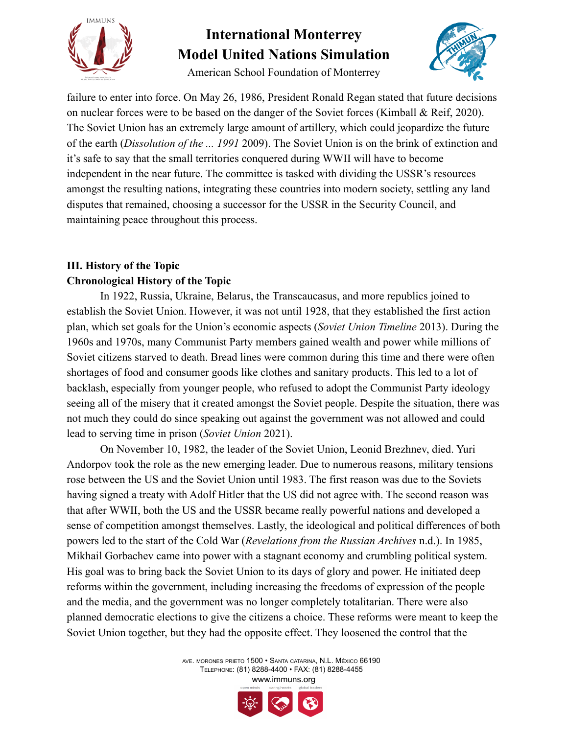



American School Foundation of Monterrey

failure to enter into force. On May 26, 1986, President Ronald Regan stated that future decisions on nuclear forces were to be based on the danger of the Soviet forces (Kimball & Reif, 2020). The Soviet Union has an extremely large amount of artillery, which could jeopardize the future of the earth (*Dissolution of the ... 1991* 2009). The Soviet Union is on the brink of extinction and it's safe to say that the small territories conquered during WWII will have to become independent in the near future. The committee is tasked with dividing the USSR's resources amongst the resulting nations, integrating these countries into modern society, settling any land disputes that remained, choosing a successor for the USSR in the Security Council, and maintaining peace throughout this process.

### **III. History of the Topic Chronological History of the Topic**

In 1922, Russia, Ukraine, Belarus, the Transcaucasus, and more republics joined to establish the Soviet Union. However, it was not until 1928, that they established the first action plan, which set goals for the Union's economic aspects (*Soviet Union Timeline* 2013). During the 1960s and 1970s, many Communist Party members gained wealth and power while millions of Soviet citizens starved to death. Bread lines were common during this time and there were often shortages of food and consumer goods like clothes and sanitary products. This led to a lot of backlash, especially from younger people, who refused to adopt the Communist Party ideology seeing all of the misery that it created amongst the Soviet people. Despite the situation, there was not much they could do since speaking out against the government was not allowed and could lead to serving time in prison (*Soviet Union* 2021).

On November 10, 1982, the leader of the Soviet Union, Leonid Brezhnev, died. Yuri Andorpov took the role as the new emerging leader. Due to numerous reasons, military tensions rose between the US and the Soviet Union until 1983. The first reason was due to the Soviets having signed a treaty with Adolf Hitler that the US did not agree with. The second reason was that after WWII, both the US and the USSR became really powerful nations and developed a sense of competition amongst themselves. Lastly, the ideological and political differences of both powers led to the start of the Cold War (*Revelations from the Russian Archives* n.d.). In 1985, Mikhail Gorbachev came into power with a stagnant economy and crumbling political system. His goal was to bring back the Soviet Union to its days of glory and power. He initiated deep reforms within the government, including increasing the freedoms of expression of the people and the media, and the government was no longer completely totalitarian. There were also planned democratic elections to give the citizens a choice. These reforms were meant to keep the Soviet Union together, but they had the opposite effect. They loosened the control that the

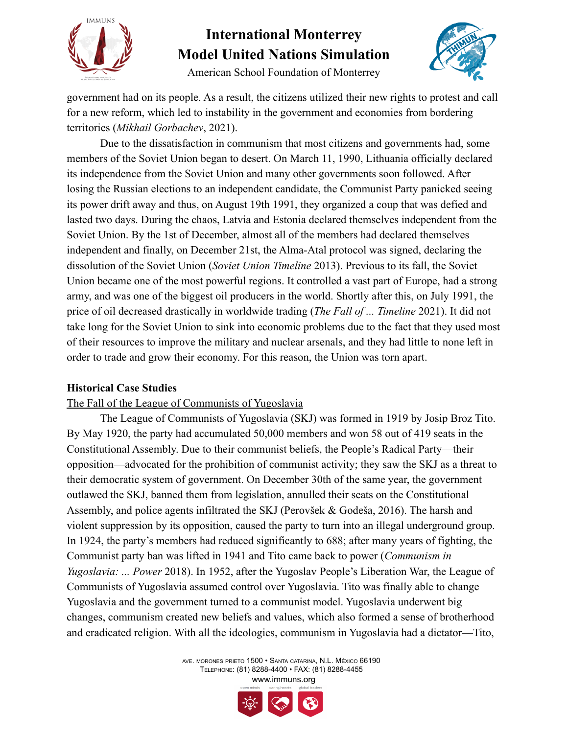



American School Foundation of Monterrey

government had on its people. As a result, the citizens utilized their new rights to protest and call for a new reform, which led to instability in the government and economies from bordering territories (*Mikhail Gorbachev*, 2021).

Due to the dissatisfaction in communism that most citizens and governments had, some members of the Soviet Union began to desert. On March 11, 1990, Lithuania officially declared its independence from the Soviet Union and many other governments soon followed. After losing the Russian elections to an independent candidate, the Communist Party panicked seeing its power drift away and thus, on August 19th 1991, they organized a coup that was defied and lasted two days. During the chaos, Latvia and Estonia declared themselves independent from the Soviet Union. By the 1st of December, almost all of the members had declared themselves independent and finally, on December 21st, the Alma-Atal protocol was signed, declaring the dissolution of the Soviet Union (*Soviet Union Timeline* 2013). Previous to its fall, the Soviet Union became one of the most powerful regions. It controlled a vast part of Europe, had a strong army, and was one of the biggest oil producers in the world. Shortly after this, on July 1991, the price of oil decreased drastically in worldwide trading (*The Fall of ... Timeline* 2021). It did not take long for the Soviet Union to sink into economic problems due to the fact that they used most of their resources to improve the military and nuclear arsenals, and they had little to none left in order to trade and grow their economy. For this reason, the Union was torn apart.

### **Historical Case Studies**

### The Fall of the League of Communists of Yugoslavia

The League of Communists of Yugoslavia (SKJ) was formed in 1919 by Josip Broz Tito. By May 1920, the party had accumulated 50,000 members and won 58 out of 419 seats in the Constitutional Assembly. Due to their communist beliefs, the People's Radical Party—their opposition—advocated for the prohibition of communist activity; they saw the SKJ as a threat to their democratic system of government. On December 30th of the same year, the government outlawed the SKJ, banned them from legislation, annulled their seats on the Constitutional Assembly, and police agents infiltrated the SKJ (Perovšek & Godeša, 2016). The harsh and violent suppression by its opposition, caused the party to turn into an illegal underground group. In 1924, the party's members had reduced significantly to 688; after many years of fighting, the Communist party ban was lifted in 1941 and Tito came back to power (*Communism in Yugoslavia: ... Power* 2018). In 1952, after the Yugoslav People's Liberation War, the League of Communists of Yugoslavia assumed control over Yugoslavia. Tito was finally able to change Yugoslavia and the government turned to a communist model. Yugoslavia underwent big changes, communism created new beliefs and values, which also formed a sense of brotherhood and eradicated religion. With all the ideologies, communism in Yugoslavia had a dictator—Tito,

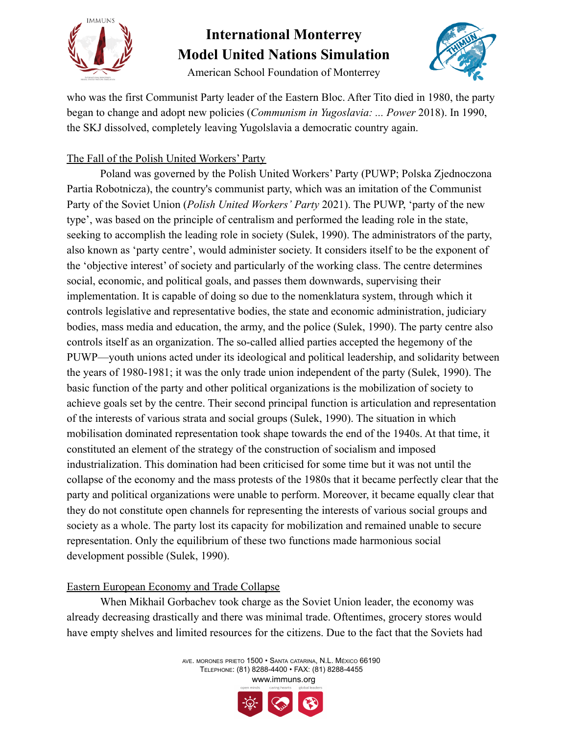

American School Foundation of Monterrey



who was the first Communist Party leader of the Eastern Bloc. After Tito died in 1980, the party began to change and adopt new policies (*Communism in Yugoslavia: ... Power* 2018). In 1990, the SKJ dissolved, completely leaving Yugolslavia a democratic country again.

### The Fall of the Polish United Workers' Party

Poland was governed by the Polish United Workers' Party (PUWP; Polska Zjednoczona Partia Robotnicza), the country's communist party, which was an imitation of the Communist Party of the Soviet Union (*Polish United Workers' Party* 2021). The PUWP, 'party of the new type', was based on the principle of centralism and performed the leading role in the state, seeking to accomplish the leading role in society (Sulek, 1990). The administrators of the party, also known as 'party centre', would administer society. It considers itself to be the exponent of the 'objective interest' of society and particularly of the working class. The centre determines social, economic, and political goals, and passes them downwards, supervising their implementation. It is capable of doing so due to the nomenklatura system, through which it controls legislative and representative bodies, the state and economic administration, judiciary bodies, mass media and education, the army, and the police (Sulek, 1990). The party centre also controls itself as an organization. The so-called allied parties accepted the hegemony of the PUWP—youth unions acted under its ideological and political leadership, and solidarity between the years of 1980-1981; it was the only trade union independent of the party (Sulek, 1990). The basic function of the party and other political organizations is the mobilization of society to achieve goals set by the centre. Their second principal function is articulation and representation of the interests of various strata and social groups (Sulek, 1990). The situation in which mobilisation dominated representation took shape towards the end of the 1940s. At that time, it constituted an element of the strategy of the construction of socialism and imposed industrialization. This domination had been criticised for some time but it was not until the collapse of the economy and the mass protests of the 1980s that it became perfectly clear that the party and political organizations were unable to perform. Moreover, it became equally clear that they do not constitute open channels for representing the interests of various social groups and society as a whole. The party lost its capacity for mobilization and remained unable to secure representation. Only the equilibrium of these two functions made harmonious social development possible (Sulek, 1990).

### Eastern European Economy and Trade Collapse

When Mikhail Gorbachev took charge as the Soviet Union leader, the economy was already decreasing drastically and there was minimal trade. Oftentimes, grocery stores would have empty shelves and limited resources for the citizens. Due to the fact that the Soviets had

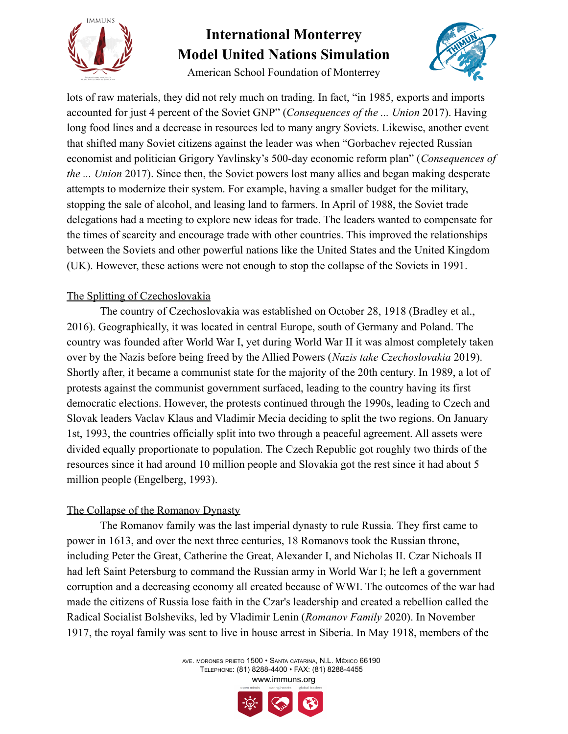

American School Foundation of Monterrey

lots of raw materials, they did not rely much on trading. In fact, "in 1985, exports and imports accounted for just 4 percent of the Soviet GNP" (*Consequences of the ... Union* 2017). Having long food lines and a decrease in resources led to many angry Soviets. Likewise, another event that shifted many Soviet citizens against the leader was when "Gorbachev rejected Russian economist and politician Grigory Yavlinsky's 500-day economic reform plan" (*Consequences of the ... Union* 2017). Since then, the Soviet powers lost many allies and began making desperate attempts to modernize their system. For example, having a smaller budget for the military, stopping the sale of alcohol, and leasing land to farmers. In April of 1988, the Soviet trade delegations had a meeting to explore new ideas for trade. The leaders wanted to compensate for the times of scarcity and encourage trade with other countries. This improved the relationships between the Soviets and other powerful nations like the United States and the United Kingdom (UK). However, these actions were not enough to stop the collapse of the Soviets in 1991.

### The Splitting of Czechoslovakia

The country of Czechoslovakia was established on October 28, 1918 (Bradley et al., 2016). Geographically, it was located in central Europe, south of Germany and Poland. The country was founded after World War I, yet during World War II it was almost completely taken over by the Nazis before being freed by the Allied Powers (*Nazis take Czechoslovakia* 2019). Shortly after, it became a communist state for the majority of the 20th century. In 1989, a lot of protests against the communist government surfaced, leading to the country having its first democratic elections. However, the protests continued through the 1990s, leading to Czech and Slovak leaders Vaclav Klaus and Vladimir Mecia deciding to split the two regions. On January 1st, 1993, the countries officially split into two through a peaceful agreement. All assets were divided equally proportionate to population. The Czech Republic got roughly two thirds of the resources since it had around 10 million people and Slovakia got the rest since it had about 5 million people (Engelberg, 1993).

### The Collapse of the Romanov Dynasty

The Romanov family was the last imperial dynasty to rule Russia. They first came to power in 1613, and over the next three centuries, 18 Romanovs took the Russian throne, including Peter the Great, Catherine the Great, Alexander I, and Nicholas II. Czar Nichoals II had left Saint Petersburg to command the Russian army in World War I; he left a government corruption and a decreasing economy all created because of WWI. The outcomes of the war had made the citizens of Russia lose faith in the Czar's leadership and created a rebellion called the Radical Socialist Bolsheviks, led by Vladimir Lenin (*Romanov Family* 2020). In November 1917, the royal family was sent to live in house arrest in Siberia. In May 1918, members of the

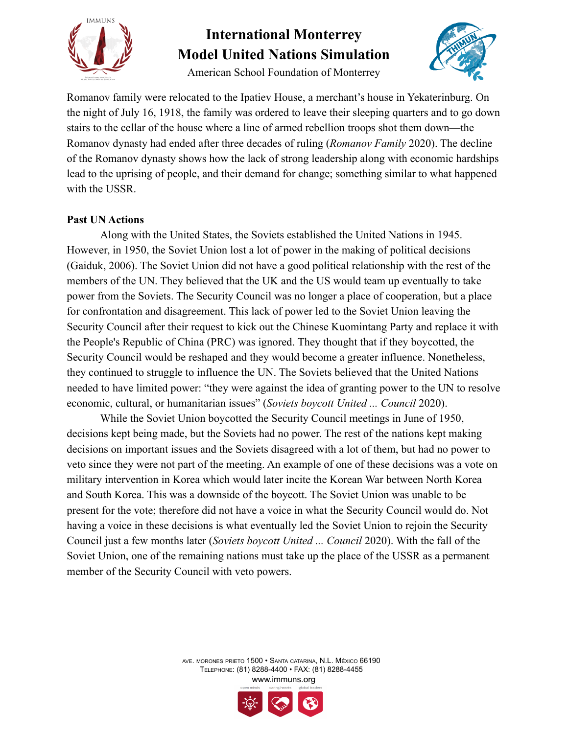

American School Foundation of Monterrey



Romanov family were relocated to the Ipatiev House, a merchant's house in Yekaterinburg. On the night of July 16, 1918, the family was ordered to leave their sleeping quarters and to go down stairs to the cellar of the house where a line of armed rebellion troops shot them down—the Romanov dynasty had ended after three decades of ruling (*Romanov Family* 2020). The decline of the Romanov dynasty shows how the lack of strong leadership along with economic hardships lead to the uprising of people, and their demand for change; something similar to what happened with the USSR.

### **Past UN Actions**

Along with the United States, the Soviets established the United Nations in 1945. However, in 1950, the Soviet Union lost a lot of power in the making of political decisions (Gaiduk, 2006). The Soviet Union did not have a good political relationship with the rest of the members of the UN. They believed that the UK and the US would team up eventually to take power from the Soviets. The Security Council was no longer a place of cooperation, but a place for confrontation and disagreement. This lack of power led to the Soviet Union leaving the Security Council after their request to kick out the Chinese Kuomintang Party and replace it with the People's Republic of China (PRC) was ignored. They thought that if they boycotted, the Security Council would be reshaped and they would become a greater influence. Nonetheless, they continued to struggle to influence the UN. The Soviets believed that the United Nations needed to have limited power: "they were against the idea of granting power to the UN to resolve economic, cultural, or humanitarian issues" (*Soviets boycott United ... Council* 2020).

While the Soviet Union boycotted the Security Council meetings in June of 1950, decisions kept being made, but the Soviets had no power. The rest of the nations kept making decisions on important issues and the Soviets disagreed with a lot of them, but had no power to veto since they were not part of the meeting. An example of one of these decisions was a vote on military intervention in Korea which would later incite the Korean War between North Korea and South Korea. This was a downside of the boycott. The Soviet Union was unable to be present for the vote; therefore did not have a voice in what the Security Council would do. Not having a voice in these decisions is what eventually led the Soviet Union to rejoin the Security Council just a few months later (*Soviets boycott United ... Council* 2020). With the fall of the Soviet Union, one of the remaining nations must take up the place of the USSR as a permanent member of the Security Council with veto powers.

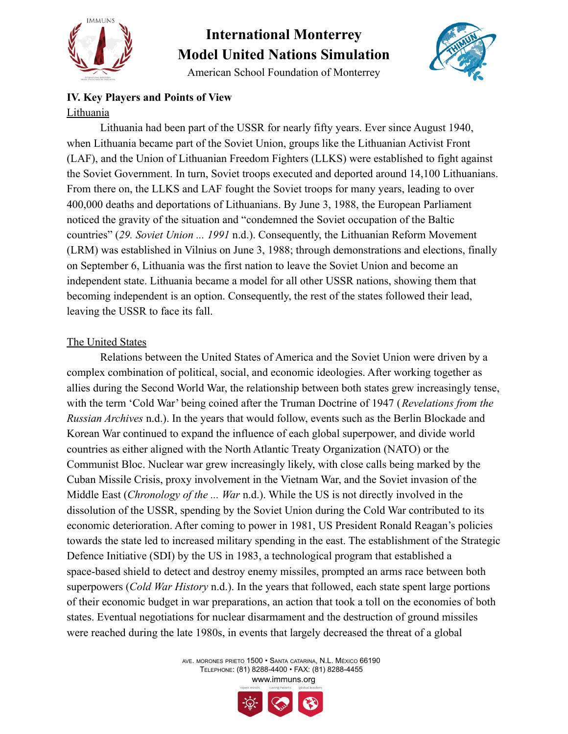

American School Foundation of Monterrey



### **IV. Key Players and Points of View** Lithuania

Lithuania had been part of the USSR for nearly fifty years. Ever since August 1940, when Lithuania became part of the Soviet Union, groups like the Lithuanian Activist Front (LAF), and the Union of Lithuanian Freedom Fighters (LLKS) were established to fight against the Soviet Government. In turn, Soviet troops executed and deported around 14,100 Lithuanians. From there on, the LLKS and LAF fought the Soviet troops for many years, leading to over 400,000 deaths and deportations of Lithuanians. By June 3, 1988, the European Parliament noticed the gravity of the situation and "condemned the Soviet occupation of the Baltic countries" (*29. Soviet Union ... 1991* n.d.). Consequently, the Lithuanian Reform Movement (LRM) was established in Vilnius on June 3, 1988; through demonstrations and elections, finally on September 6, Lithuania was the first nation to leave the Soviet Union and become an independent state. Lithuania became a model for all other USSR nations, showing them that becoming independent is an option. Consequently, the rest of the states followed their lead, leaving the USSR to face its fall.

### The United States

Relations between the United States of America and the Soviet Union were driven by a complex combination of political, social, and economic ideologies. After working together as allies during the Second World War, the relationship between both states grew increasingly tense, with the term 'Cold War' being coined after the Truman Doctrine of 1947 (*Revelations from the Russian Archives* n.d.). In the years that would follow, events such as the Berlin Blockade and Korean War continued to expand the influence of each global superpower, and divide world countries as either aligned with the North Atlantic Treaty Organization (NATO) or the Communist Bloc. Nuclear war grew increasingly likely, with close calls being marked by the Cuban Missile Crisis, proxy involvement in the Vietnam War, and the Soviet invasion of the Middle East (*Chronology of the ... War* n.d.). While the US is not directly involved in the dissolution of the USSR, spending by the Soviet Union during the Cold War contributed to its economic deterioration. After coming to power in 1981, US President Ronald Reagan's policies towards the state led to increased military spending in the east. The establishment of the Strategic Defence Initiative (SDI) by the US in 1983, a technological program that established a space-based shield to detect and destroy enemy missiles, prompted an arms race between both superpowers (*Cold War History* n.d.). In the years that followed, each state spent large portions of their economic budget in war preparations, an action that took a toll on the economies of both states. Eventual negotiations for nuclear disarmament and the destruction of ground missiles were reached during the late 1980s, in events that largely decreased the threat of a global

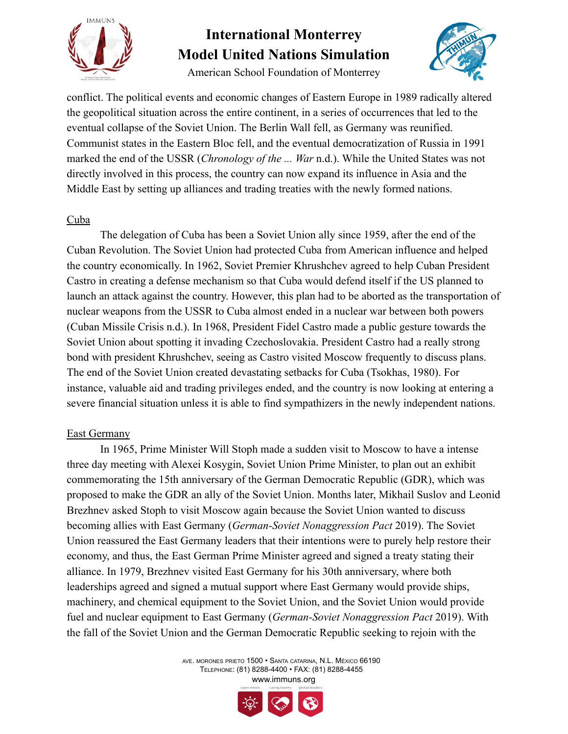

American School Foundation of Monterrey



conflict. The political events and economic changes of Eastern Europe in 1989 radically altered the geopolitical situation across the entire continent, in a series of occurrences that led to the eventual collapse of the Soviet Union. The Berlin Wall fell, as Germany was reunified. Communist states in the Eastern Bloc fell, and the eventual democratization of Russia in 1991 marked the end of the USSR (*Chronology of the ... War* n.d.). While the United States was not directly involved in this process, the country can now expand its influence in Asia and the Middle East by setting up alliances and trading treaties with the newly formed nations.

#### Cuba

The delegation of Cuba has been a Soviet Union ally since 1959, after the end of the Cuban Revolution. The Soviet Union had protected Cuba from American influence and helped the country economically. In 1962, Soviet Premier Khrushchev agreed to help Cuban President Castro in creating a defense mechanism so that Cuba would defend itself if the US planned to launch an attack against the country. However, this plan had to be aborted as the transportation of nuclear weapons from the USSR to Cuba almost ended in a nuclear war between both powers (Cuban Missile Crisis n.d.). In 1968, President Fidel Castro made a public gesture towards the Soviet Union about spotting it invading Czechoslovakia. President Castro had a really strong bond with president Khrushchev, seeing as Castro visited Moscow frequently to discuss plans. The end of the Soviet Union created devastating setbacks for Cuba (Tsokhas, 1980). For instance, valuable aid and trading privileges ended, and the country is now looking at entering a severe financial situation unless it is able to find sympathizers in the newly independent nations.

#### East Germany

In 1965, Prime Minister Will Stoph made a sudden visit to Moscow to have a intense three day meeting with Alexei Kosygin, Soviet Union Prime Minister, to plan out an exhibit commemorating the 15th anniversary of the German Democratic Republic (GDR), which was proposed to make the GDR an ally of the Soviet Union. Months later, Mikhail Suslov and Leonid Brezhnev asked Stoph to visit Moscow again because the Soviet Union wanted to discuss becoming allies with East Germany (*German-Soviet Nonaggression Pact* 2019). The Soviet Union reassured the East Germany leaders that their intentions were to purely help restore their economy, and thus, the East German Prime Minister agreed and signed a treaty stating their alliance. In 1979, Brezhnev visited East Germany for his 30th anniversary, where both leaderships agreed and signed a mutual support where East Germany would provide ships, machinery, and chemical equipment to the Soviet Union, and the Soviet Union would provide fuel and nuclear equipment to East Germany (*German-Soviet Nonaggression Pact* 2019). With the fall of the Soviet Union and the German Democratic Republic seeking to rejoin with the

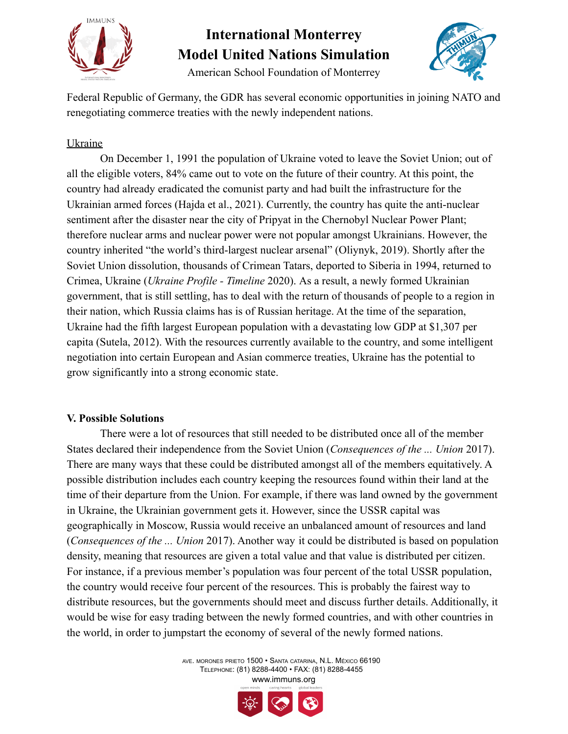

American School Foundation of Monterrey



Federal Republic of Germany, the GDR has several economic opportunities in joining NATO and renegotiating commerce treaties with the newly independent nations.

### Ukraine

On December 1, 1991 the population of Ukraine voted to leave the Soviet Union; out of all the eligible voters, 84% came out to vote on the future of their country. At this point, the country had already eradicated the comunist party and had built the infrastructure for the Ukrainian armed forces (Hajda et al., 2021). Currently, the country has quite the anti-nuclear sentiment after the disaster near the city of Pripyat in the Chernobyl Nuclear Power Plant; therefore nuclear arms and nuclear power were not popular amongst Ukrainians. However, the country inherited "the world's third-largest nuclear arsenal" (Oliynyk, 2019). Shortly after the Soviet Union dissolution, thousands of Crimean Tatars, deported to Siberia in 1994, returned to Crimea, Ukraine (*Ukraine Profile - Timeline* 2020). As a result, a newly formed Ukrainian government, that is still settling, has to deal with the return of thousands of people to a region in their nation, which Russia claims has is of Russian heritage. At the time of the separation, Ukraine had the fifth largest European population with a devastating low GDP at \$1,307 per capita (Sutela, 2012). With the resources currently available to the country, and some intelligent negotiation into certain European and Asian commerce treaties, Ukraine has the potential to grow significantly into a strong economic state.

### **V. Possible Solutions**

There were a lot of resources that still needed to be distributed once all of the member States declared their independence from the Soviet Union (*Consequences of the ... Union* 2017). There are many ways that these could be distributed amongst all of the members equitatively. A possible distribution includes each country keeping the resources found within their land at the time of their departure from the Union. For example, if there was land owned by the government in Ukraine, the Ukrainian government gets it. However, since the USSR capital was geographically in Moscow, Russia would receive an unbalanced amount of resources and land (*Consequences of the ... Union* 2017). Another way it could be distributed is based on population density, meaning that resources are given a total value and that value is distributed per citizen. For instance, if a previous member's population was four percent of the total USSR population, the country would receive four percent of the resources. This is probably the fairest way to distribute resources, but the governments should meet and discuss further details. Additionally, it would be wise for easy trading between the newly formed countries, and with other countries in the world, in order to jumpstart the economy of several of the newly formed nations.

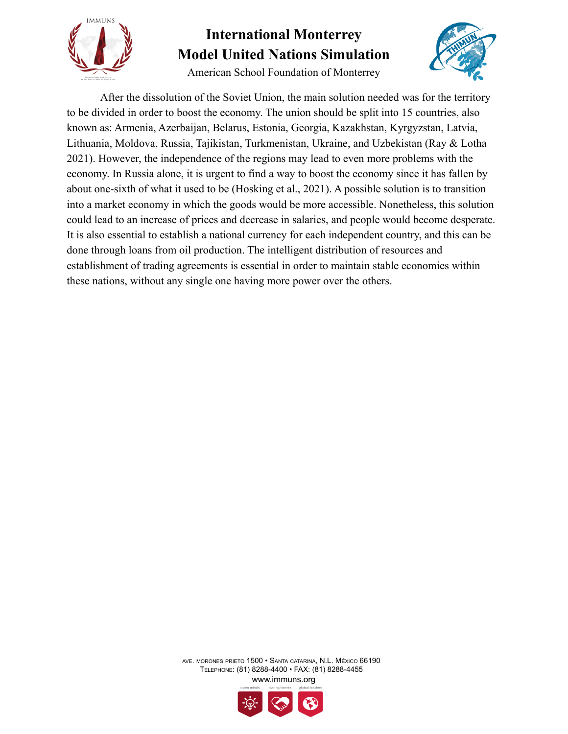

American School Foundation of Monterrey



After the dissolution of the Soviet Union, the main solution needed was for the territory to be divided in order to boost the economy. The union should be split into 15 countries, also known as: Armenia, Azerbaijan, Belarus, Estonia, Georgia, Kazakhstan, Kyrgyzstan, Latvia, Lithuania, Moldova, Russia, Tajikistan, Turkmenistan, Ukraine, and Uzbekistan (Ray & Lotha 2021). However, the independence of the regions may lead to even more problems with the economy. In Russia alone, it is urgent to find a way to boost the economy since it has fallen by about one-sixth of what it used to be (Hosking et al., 2021). A possible solution is to transition into a market economy in which the goods would be more accessible. Nonetheless, this solution could lead to an increase of prices and decrease in salaries, and people would become desperate. It is also essential to establish a national currency for each independent country, and this can be done through loans from oil production. The intelligent distribution of resources and establishment of trading agreements is essential in order to maintain stable economies within these nations, without any single one having more power over the others.

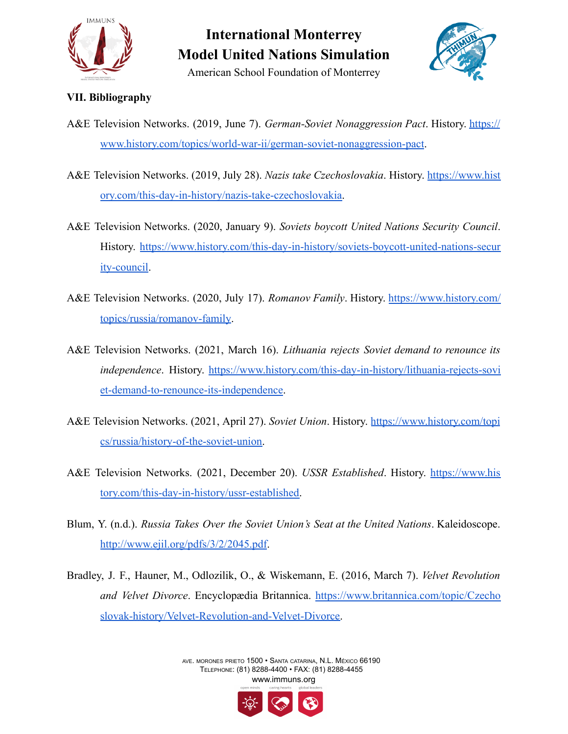

American School Foundation of Monterrey

### **VII. Bibliography**

- A&E Television Networks. (2019, June 7). *German-Soviet Nonaggression Pact*. History. [https://](https://www.history.com/topics/world-war-ii/german-soviet-nonaggression-pact) [www.history.com/topics/world-war-ii/german-soviet-nonaggression-pact](https://www.history.com/topics/world-war-ii/german-soviet-nonaggression-pact).
- A&E Television Networks. (2019, July 28). *Nazis take Czechoslovakia*. History. [https://www.hist](https://www.history.com/this-day-in-history/nazis-take-czechoslovakia) [ory.com/this-day-in-history/nazis-take-czechoslovakia.](https://www.history.com/this-day-in-history/nazis-take-czechoslovakia)
- A&E Television Networks. (2020, January 9). *Soviets boycott United Nations Security Council*. History. [https://www.history.com/this-day-in-history/soviets-boycott-united-nations-secur](https://www.history.com/this-day-in-history/soviets-boycott-united-nations-security-council) [ity-council.](https://www.history.com/this-day-in-history/soviets-boycott-united-nations-security-council)
- A&E Television Networks. (2020, July 17). *Romanov Family*. History. [https://www.history.com/](https://www.history.com/topics/russia/romanov-family) [topics/russia/romanov-family](https://www.history.com/topics/russia/romanov-family).
- A&E Television Networks. (2021, March 16). *Lithuania rejects Soviet demand to renounce its independence*. History. [https://www.history.com/this-day-in-history/lithuania-rejects-sovi](https://www.history.com/this-day-in-history/lithuania-rejects-soviet-demand-to-renounce-its-independence) [et-demand-to-renounce-its-independence](https://www.history.com/this-day-in-history/lithuania-rejects-soviet-demand-to-renounce-its-independence).
- A&E Television Networks. (2021, April 27). *Soviet Union*. History. [https://www.history.com/topi](https://www.history.com/topics/russia/history-of-the-soviet-union) [cs/russia/history-of-the-soviet-union.](https://www.history.com/topics/russia/history-of-the-soviet-union)
- A&E Television Networks. (2021, December 20). *USSR Established*. History. [https://www.his](https://www.history.com/this-day-in-history/ussr-established) [tory.com/this-day-in-history/ussr-established.](https://www.history.com/this-day-in-history/ussr-established)
- Blum, Y. (n.d.). *Russia Takes Over the Soviet Union's Seat at the United Nations*. Kaleidoscope. [http://www.ejil.org/pdfs/3/2/2045.pdf.](http://www.ejil.org/pdfs/3/2/2045.pdf)
- Bradley, J. F., Hauner, M., Odlozilik, O., & Wiskemann, E. (2016, March 7). *Velvet Revolution and Velvet Divorce*. Encyclopædia Britannica. [https://www.britannica.com/topic/Czecho](https://www.britannica.com/topic/Czechoslovak-history/Velvet-Revolution-and-Velvet-Divorce) [slovak-history/Velvet-Revolution-and-Velvet-Divorce.](https://www.britannica.com/topic/Czechoslovak-history/Velvet-Revolution-and-Velvet-Divorce)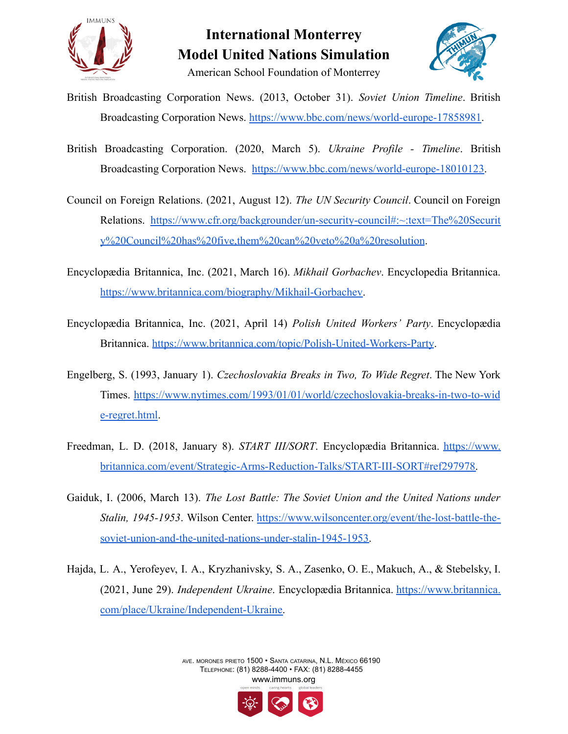

### **International Monterrey Model United Nations Simulation** American School Foundation of Monterrey



- British Broadcasting Corporation News. (2013, October 31). *Soviet Union Timeline*. British Broadcasting Corporation News. <https://www.bbc.com/news/world-europe-17858981>.
- British Broadcasting Corporation. (2020, March 5). *Ukraine Profile - Timeline*. British Broadcasting Corporation News. <https://www.bbc.com/news/world-europe-18010123>.
- Council on Foreign Relations. (2021, August 12). *The UN Security Council*. Council on Foreign Relations. [https://www.cfr.org/backgrounder/un-security-council#:~:text=The%20Securit](https://www.cfr.org/backgrounder/un-security-council#:~:text=The%20Security%20Council%20has%20five,them%20can%20veto%20a%20resolution) [y%20Council%20has%20five,them%20can%20veto%20a%20resolution](https://www.cfr.org/backgrounder/un-security-council#:~:text=The%20Security%20Council%20has%20five,them%20can%20veto%20a%20resolution).
- Encyclopædia Britannica, Inc. (2021, March 16). *Mikhail Gorbachev*. Encyclopedia Britannica. <https://www.britannica.com/biography/Mikhail-Gorbachev>.
- Encyclopædia Britannica, Inc. (2021, April 14) *Polish United Workers' Party*. Encyclopædia Britannica. <https://www.britannica.com/topic/Polish-United-Workers-Party>.
- Engelberg, S. (1993, January 1). *Czechoslovakia Breaks in Two, To Wide Regret*. The New York Times. [https://www.nytimes.com/1993/01/01/world/czechoslovakia-breaks-in-two-to-wid](https://www.nytimes.com/1993/01/01/world/czechoslovakia-breaks-in-two-to-wide-regret.html) [e-regret.html](https://www.nytimes.com/1993/01/01/world/czechoslovakia-breaks-in-two-to-wide-regret.html).
- Freedman, L. D. (2018, January 8). *START III/SORT*. Encyclopædia Britannica. [https://www.](https://www.britannica.com/event/Strategic-Arms-Reduction-Talks/START-III-SORT#ref297978) [britannica.com/event/Strategic-Arms-Reduction-Talks/START-III-SORT#ref297978.](https://www.britannica.com/event/Strategic-Arms-Reduction-Talks/START-III-SORT#ref297978)
- Gaiduk, I. (2006, March 13). *The Lost Battle: The Soviet Union and the United Nations under Stalin, 1945-1953*. Wilson Center. [https://www.wilsoncenter.org/event/the-lost-battle-the](https://www.wilsoncenter.org/event/the-lost-battle-the-soviet-union-and-the-united-nations-under-stalin-1945-1953)[soviet-union-and-the-united-nations-under-stalin-1945-1953.](https://www.wilsoncenter.org/event/the-lost-battle-the-soviet-union-and-the-united-nations-under-stalin-1945-1953)
- Hajda, L. A., Yerofeyev, I. A., Kryzhanivsky, S. A., Zasenko, O. E., Makuch, A., & Stebelsky, I. (2021, June 29). *Independent Ukraine*. Encyclopædia Britannica. [https://www.britannica.](https://www.britannica.com/place/Ukraine/Independent-Ukraine) [com/place/Ukraine/Independent-Ukraine.](https://www.britannica.com/place/Ukraine/Independent-Ukraine)

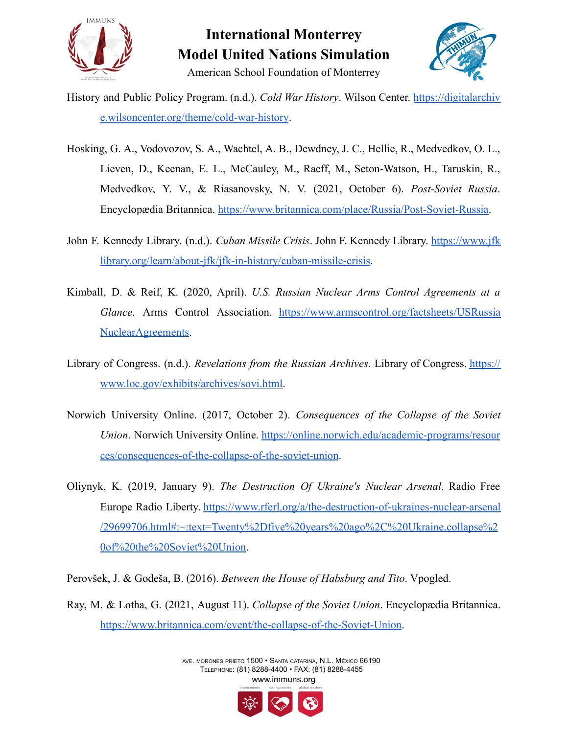



- History and Public Policy Program. (n.d.). *Cold War History*. Wilson Center. [https://digitalarchiv](https://digitalarchive.wilsoncenter.org/theme/cold-war-history) [e.wilsoncenter.org/theme/cold-war-history](https://digitalarchive.wilsoncenter.org/theme/cold-war-history).
- Hosking, G. A., Vodovozov, S. A., Wachtel, A. B., Dewdney, J. C., Hellie, R., Medvedkov, O. L., Lieven, D., Keenan, E. L., McCauley, M., Raeff, M., Seton-Watson, H., Taruskin, R., Medvedkov, Y. V., & Riasanovsky, N. V. (2021, October 6). *Post-Soviet Russia*. Encyclopædia Britannica. [https://www.britannica.com/place/Russia/Post-Soviet-Russia.](https://www.britannica.com/place/Russia/Post-Soviet-Russia)
- John F. Kennedy Library. (n.d.). *Cuban Missile Crisis*. John F. Kennedy Library. [https://www.jfk](https://www.jfklibrary.org/learn/about-jfk/jfk-in-history/cuban-missile-crisis) [library.org/learn/about-jfk/jfk-in-history/cuban-missile-crisis](https://www.jfklibrary.org/learn/about-jfk/jfk-in-history/cuban-missile-crisis).
- Kimball, D. & Reif, K. (2020, April). *U.S. Russian Nuclear Arms Control Agreements at a Glance*. Arms Control Association. [https://www.armscontrol.org/factsheets/USRussia](https://www.armscontrol.org/factsheets/USRussiaNuclearAgreements) [NuclearAgreements.](https://www.armscontrol.org/factsheets/USRussiaNuclearAgreements)
- Library of Congress. (n.d.). *Revelations from the Russian Archives*. Library of Congress. [https://](https://www.loc.gov/exhibits/archives/sovi.html) [www.loc.gov/exhibits/archives/sovi.html.](http://www.loc.gov/exhibits/archives/sovi.html)
- Norwich University Online. (2017, October 2). *Consequences of the Collapse of the Soviet Union*. Norwich University Online. [https://online.norwich.edu/academic-programs/resour](https://online.norwich.edu/academic-programs/resources/consequences-of-the-collapse-of-the-soviet-union) [ces/consequences-of-the-collapse-of-the-soviet-union](https://online.norwich.edu/academic-programs/resources/consequences-of-the-collapse-of-the-soviet-union).
- Oliynyk, K. (2019, January 9). *The Destruction Of Ukraine's Nuclear Arsenal*. Radio Free Europe Radio Liberty. [https://www.rferl.org/a/the-destruction-of-ukraines-nuclear-arsenal](https://www.rferl.org/a/the-destruction-of-ukraines-nuclear-arsenal/29699706.html#:~:text=Twenty%2Dfive%20years%20ago%2C%20Ukraine,collapse%20of%20the%20Soviet%20Union) [/29699706.html#:~:text=Twenty%2Dfive%20years%20ago%2C%20Ukraine,collapse%2](https://www.rferl.org/a/the-destruction-of-ukraines-nuclear-arsenal/29699706.html#:~:text=Twenty%2Dfive%20years%20ago%2C%20Ukraine,collapse%20of%20the%20Soviet%20Union) [0of%20the%20Soviet%20Union](https://www.rferl.org/a/the-destruction-of-ukraines-nuclear-arsenal/29699706.html#:~:text=Twenty%2Dfive%20years%20ago%2C%20Ukraine,collapse%20of%20the%20Soviet%20Union).
- Perovšek, J. & Godeša, B. (2016). *Between the House of Habsburg and Tito*. Vpogled.
- Ray, M. & Lotha, G. (2021, August 11). *Collapse of the Soviet Union*. Encyclopædia Britannica. <https://www.britannica.com/event/the-collapse-of-the-Soviet-Union>.

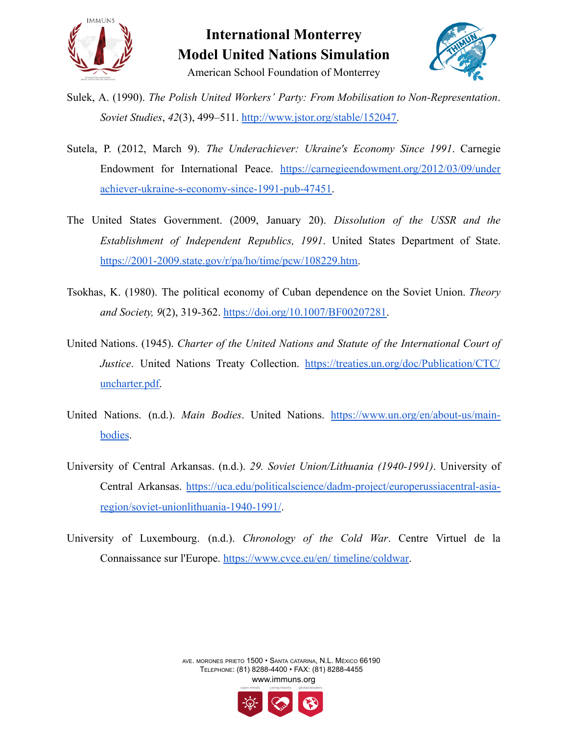



- Sulek, A. (1990). *The Polish United Workers' Party: From Mobilisation to Non-Representation*. *Soviet Studies*, *42*(3), 499–511. [http://www.jstor.org/stable/152047.](http://www.jstor.org/stable/152047)
- Sutela, P. (2012, March 9). *The Underachiever: Ukraine's Economy Since 1991*. Carnegie Endowment for International Peace. [https://carnegieendowment.org/2012/03/09/under](https://carnegieendowment.org/2012/03/09/underachiever-ukraine-s-economy-since-1991-pub-47451) [achiever-ukraine-s-economy-since-1991-pub-47451.](https://carnegieendowment.org/2012/03/09/underachiever-ukraine-s-economy-since-1991-pub-47451)
- The United States Government. (2009, January 20). *Dissolution of the USSR and the Establishment of Independent Republics, 1991*. United States Department of State. [https://2001-2009.state.gov/r/pa/ho/time/pcw/108229.htm.](https://2001-2009.state.gov/r/pa/ho/time/pcw/108229.htm)
- Tsokhas, K. (1980). The political economy of Cuban dependence on the Soviet Union. *Theory and Society, 9*(2), 319-362. [https://doi.org/10.1007/BF00207281.](https://doi.org/10.1007/BF00207281)
- United Nations. (1945). *Charter of the United Nations and Statute of the International Court of Justice*. United Nations Treaty Collection. [https://treaties.un.org/doc/Publication/CTC/](https://treaties.un.org/doc/Publication/CTC/uncharter.pdf) [uncharter.pdf.](https://treaties.un.org/doc/Publication/CTC/uncharter.pdf)
- United Nations. (n.d.). *Main Bodies*. United Nations. [https://www.un.org/en/about-us/main](https://www.un.org/en/about-us/main-bodies)[bodies](https://www.un.org/en/about-us/main-bodies).
- University of Central Arkansas. (n.d.). *29. Soviet Union/Lithuania (1940-1991)*. University of Central Arkansas. [https://uca.edu/politicalscience/dadm-project/europerussiacentral-asia](https://uca.edu/politicalscience/dadm-project/europerussiacentral-asia-region/soviet-unionlithuania-1940-1991/)[region/soviet-unionlithuania-1940-1991/](https://uca.edu/politicalscience/dadm-project/europerussiacentral-asia-region/soviet-unionlithuania-1940-1991/).
- University of Luxembourg. (n.d.). *Chronology of the Cold War*. Centre Virtuel de la Connaissance sur l'Europe. [https://www.cvce.eu/en/](https://www.cvce.eu/en/timeline/coldwar) timeline/coldwar.